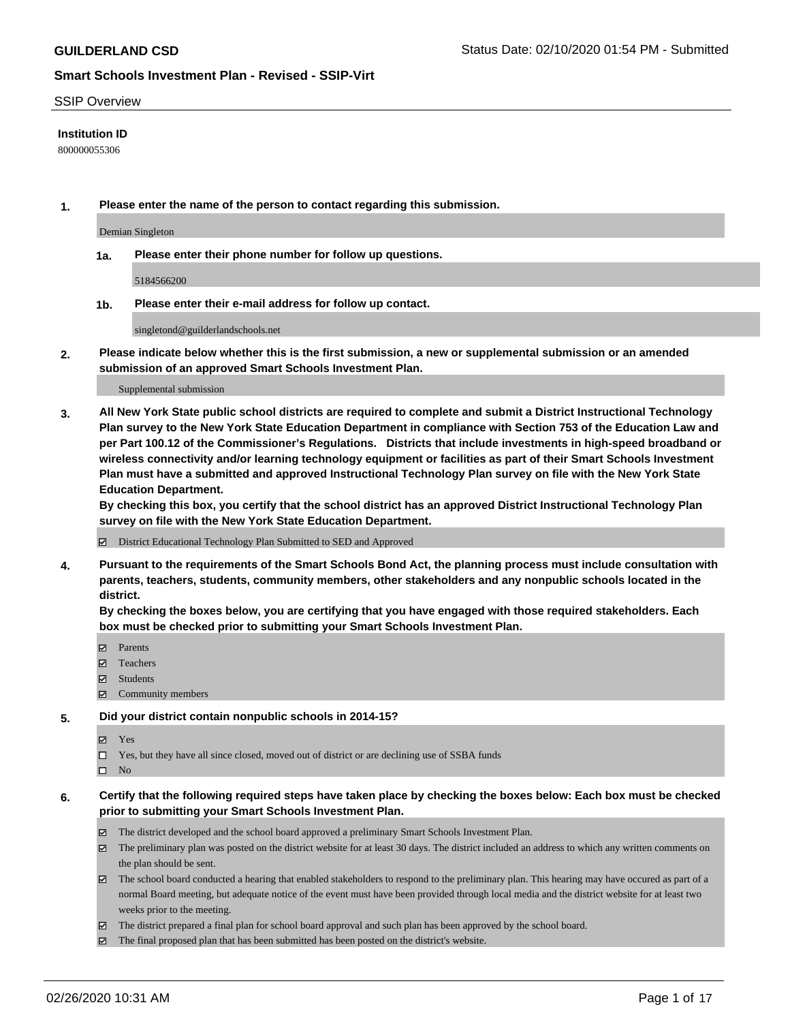#### SSIP Overview

### **Institution ID**

800000055306

**1. Please enter the name of the person to contact regarding this submission.**

Demian Singleton

**1a. Please enter their phone number for follow up questions.**

5184566200

**1b. Please enter their e-mail address for follow up contact.**

singletond@guilderlandschools.net

**2. Please indicate below whether this is the first submission, a new or supplemental submission or an amended submission of an approved Smart Schools Investment Plan.**

#### Supplemental submission

**3. All New York State public school districts are required to complete and submit a District Instructional Technology Plan survey to the New York State Education Department in compliance with Section 753 of the Education Law and per Part 100.12 of the Commissioner's Regulations. Districts that include investments in high-speed broadband or wireless connectivity and/or learning technology equipment or facilities as part of their Smart Schools Investment Plan must have a submitted and approved Instructional Technology Plan survey on file with the New York State Education Department.** 

**By checking this box, you certify that the school district has an approved District Instructional Technology Plan survey on file with the New York State Education Department.**

District Educational Technology Plan Submitted to SED and Approved

**4. Pursuant to the requirements of the Smart Schools Bond Act, the planning process must include consultation with parents, teachers, students, community members, other stakeholders and any nonpublic schools located in the district.** 

**By checking the boxes below, you are certifying that you have engaged with those required stakeholders. Each box must be checked prior to submitting your Smart Schools Investment Plan.**

- **マ** Parents
- Teachers
- Students
- $\Xi$  Community members

#### **5. Did your district contain nonpublic schools in 2014-15?**

**冈** Yes

Yes, but they have all since closed, moved out of district or are declining use of SSBA funds

 $\square$  No

- **6. Certify that the following required steps have taken place by checking the boxes below: Each box must be checked prior to submitting your Smart Schools Investment Plan.**
	- The district developed and the school board approved a preliminary Smart Schools Investment Plan.
	- $\boxtimes$  The preliminary plan was posted on the district website for at least 30 days. The district included an address to which any written comments on the plan should be sent.
	- $\boxtimes$  The school board conducted a hearing that enabled stakeholders to respond to the preliminary plan. This hearing may have occured as part of a normal Board meeting, but adequate notice of the event must have been provided through local media and the district website for at least two weeks prior to the meeting.
	- The district prepared a final plan for school board approval and such plan has been approved by the school board.
	- $\boxtimes$  The final proposed plan that has been submitted has been posted on the district's website.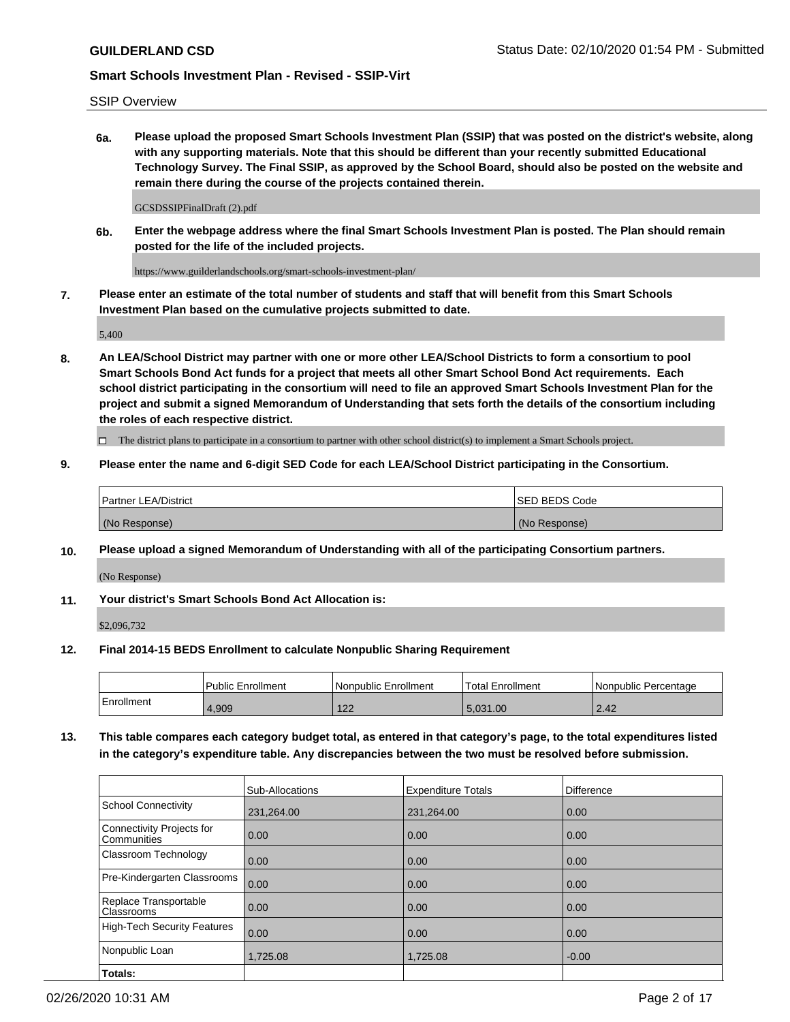## SSIP Overview

**6a. Please upload the proposed Smart Schools Investment Plan (SSIP) that was posted on the district's website, along with any supporting materials. Note that this should be different than your recently submitted Educational Technology Survey. The Final SSIP, as approved by the School Board, should also be posted on the website and remain there during the course of the projects contained therein.**

#### GCSDSSIPFinalDraft (2).pdf

**6b. Enter the webpage address where the final Smart Schools Investment Plan is posted. The Plan should remain posted for the life of the included projects.**

https://www.guilderlandschools.org/smart-schools-investment-plan/

**7. Please enter an estimate of the total number of students and staff that will benefit from this Smart Schools Investment Plan based on the cumulative projects submitted to date.**

5,400

**8. An LEA/School District may partner with one or more other LEA/School Districts to form a consortium to pool Smart Schools Bond Act funds for a project that meets all other Smart School Bond Act requirements. Each school district participating in the consortium will need to file an approved Smart Schools Investment Plan for the project and submit a signed Memorandum of Understanding that sets forth the details of the consortium including the roles of each respective district.**

 $\Box$  The district plans to participate in a consortium to partner with other school district(s) to implement a Smart Schools project.

## **9. Please enter the name and 6-digit SED Code for each LEA/School District participating in the Consortium.**

| <b>Partner LEA/District</b> | <b>ISED BEDS Code</b> |
|-----------------------------|-----------------------|
| (No Response)               | (No Response)         |

## **10. Please upload a signed Memorandum of Understanding with all of the participating Consortium partners.**

(No Response)

## **11. Your district's Smart Schools Bond Act Allocation is:**

\$2,096,732

## **12. Final 2014-15 BEDS Enrollment to calculate Nonpublic Sharing Requirement**

|            | Public Enrollment | Nonpublic Enrollment | Total Enrollment | l Nonpublic Percentage |
|------------|-------------------|----------------------|------------------|------------------------|
| Enrollment | 1.909             | 100<br>144           | 5.031.00         | 2.42                   |

**13. This table compares each category budget total, as entered in that category's page, to the total expenditures listed in the category's expenditure table. Any discrepancies between the two must be resolved before submission.**

|                                          | Sub-Allocations | <b>Expenditure Totals</b> | <b>Difference</b> |
|------------------------------------------|-----------------|---------------------------|-------------------|
| <b>School Connectivity</b>               | 231,264.00      | 231,264.00                | 0.00              |
| Connectivity Projects for<br>Communities | 0.00            | 0.00                      | 0.00              |
| Classroom Technology                     | 0.00            | 0.00                      | 0.00              |
| Pre-Kindergarten Classrooms              | 0.00            | 0.00                      | 0.00              |
| Replace Transportable<br>Classrooms      | 0.00            | 0.00                      | 0.00              |
| <b>High-Tech Security Features</b>       | 0.00            | 0.00                      | 0.00              |
| Nonpublic Loan                           | 1,725.08        | 1,725.08                  | $-0.00$           |
| Totals:                                  |                 |                           |                   |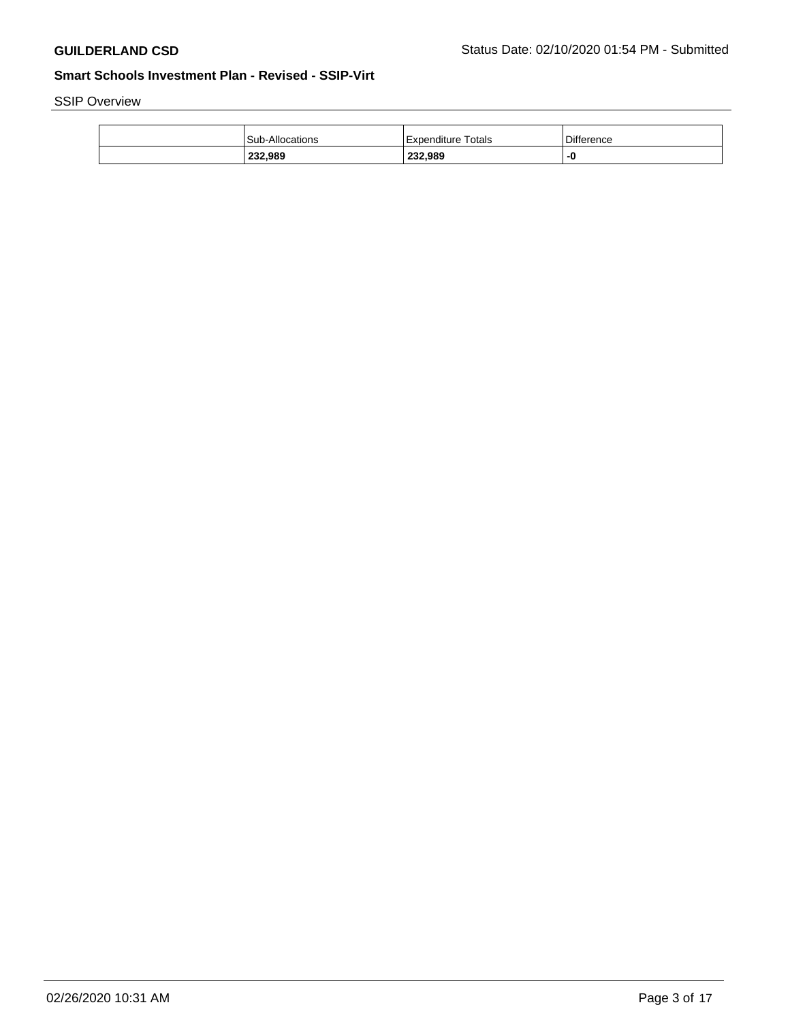SSIP Overview

| 232,989         | 232,989            | -0         |
|-----------------|--------------------|------------|
| Sub-Allocations | Expenditure Totals | Difference |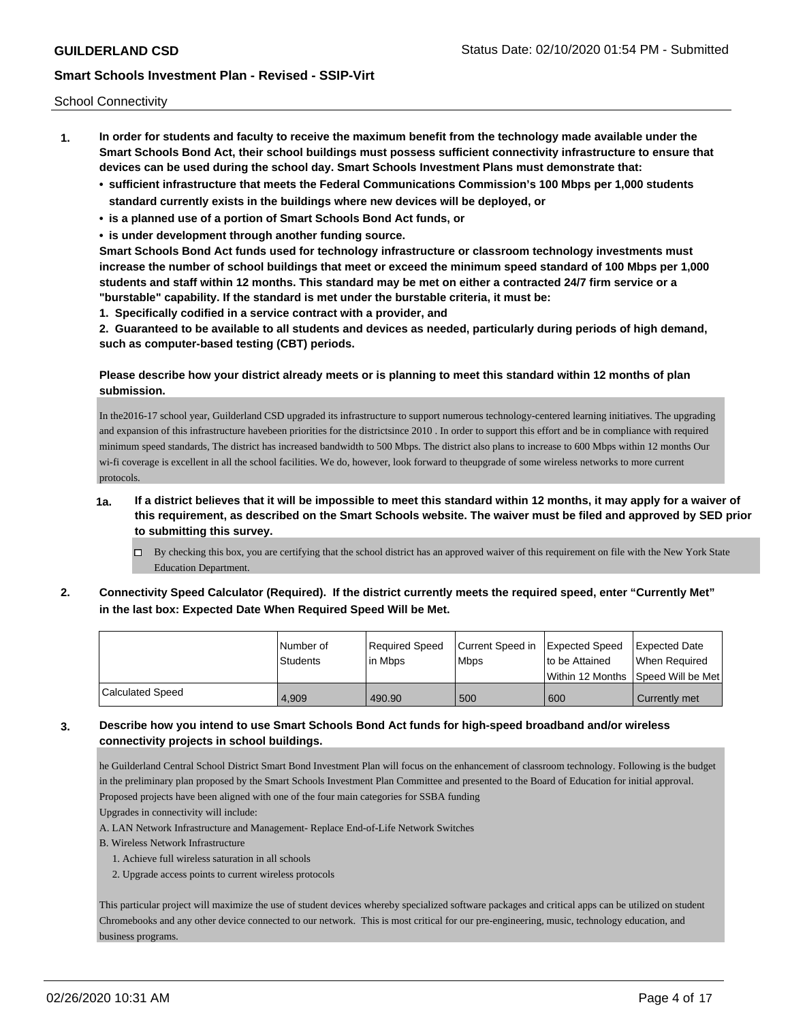School Connectivity

- **1. In order for students and faculty to receive the maximum benefit from the technology made available under the Smart Schools Bond Act, their school buildings must possess sufficient connectivity infrastructure to ensure that devices can be used during the school day. Smart Schools Investment Plans must demonstrate that:**
	- **• sufficient infrastructure that meets the Federal Communications Commission's 100 Mbps per 1,000 students standard currently exists in the buildings where new devices will be deployed, or**
	- **• is a planned use of a portion of Smart Schools Bond Act funds, or**
	- **• is under development through another funding source.**

**Smart Schools Bond Act funds used for technology infrastructure or classroom technology investments must increase the number of school buildings that meet or exceed the minimum speed standard of 100 Mbps per 1,000 students and staff within 12 months. This standard may be met on either a contracted 24/7 firm service or a "burstable" capability. If the standard is met under the burstable criteria, it must be:**

**1. Specifically codified in a service contract with a provider, and**

**2. Guaranteed to be available to all students and devices as needed, particularly during periods of high demand, such as computer-based testing (CBT) periods.**

## **Please describe how your district already meets or is planning to meet this standard within 12 months of plan submission.**

In the2016-17 school year, Guilderland CSD upgraded its infrastructure to support numerous technology-centered learning initiatives. The upgrading and expansion of this infrastructure havebeen priorities for the districtsince 2010 . In order to support this effort and be in compliance with required minimum speed standards, The district has increased bandwidth to 500 Mbps. The district also plans to increase to 600 Mbps within 12 months Our wi-fi coverage is excellent in all the school facilities. We do, however, look forward to theupgrade of some wireless networks to more current protocols.

- **1a. If a district believes that it will be impossible to meet this standard within 12 months, it may apply for a waiver of this requirement, as described on the Smart Schools website. The waiver must be filed and approved by SED prior to submitting this survey.**
	- $\Box$  By checking this box, you are certifying that the school district has an approved waiver of this requirement on file with the New York State Education Department.
- **2. Connectivity Speed Calculator (Required). If the district currently meets the required speed, enter "Currently Met" in the last box: Expected Date When Required Speed Will be Met.**

|                  | l Number of | Required Speed | Current Speed in | Expected Speed | <b>Expected Date</b>               |
|------------------|-------------|----------------|------------------|----------------|------------------------------------|
|                  | Students    | l in Mbps      | <b>Mbps</b>      | to be Attained | When Required                      |
|                  |             |                |                  |                | Within 12 Months Speed Will be Met |
| Calculated Speed | 4.909       | 490.90         | 500              | 600            | Currently met                      |

## **3. Describe how you intend to use Smart Schools Bond Act funds for high-speed broadband and/or wireless connectivity projects in school buildings.**

he Guilderland Central School District Smart Bond Investment Plan will focus on the enhancement of classroom technology. Following is the budget in the preliminary plan proposed by the Smart Schools Investment Plan Committee and presented to the Board of Education for initial approval. Proposed projects have been aligned with one of the four main categories for SSBA funding

Upgrades in connectivity will include:

- A. LAN Network Infrastructure and Management- Replace End-of-Life Network Switches
- B. Wireless Network Infrastructure
	- 1. Achieve full wireless saturation in all schools
	- 2. Upgrade access points to current wireless protocols

This particular project will maximize the use of student devices whereby specialized software packages and critical apps can be utilized on student Chromebooks and any other device connected to our network. This is most critical for our pre-engineering, music, technology education, and business programs.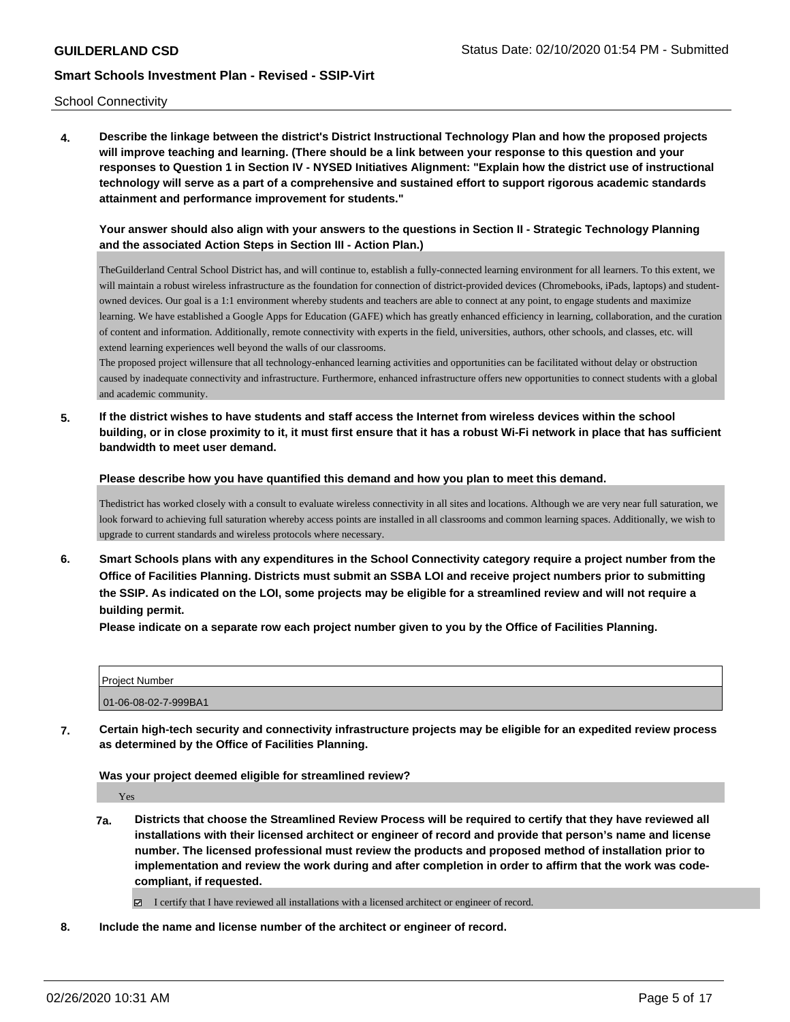School Connectivity

**4. Describe the linkage between the district's District Instructional Technology Plan and how the proposed projects will improve teaching and learning. (There should be a link between your response to this question and your responses to Question 1 in Section IV - NYSED Initiatives Alignment: "Explain how the district use of instructional technology will serve as a part of a comprehensive and sustained effort to support rigorous academic standards attainment and performance improvement for students."** 

**Your answer should also align with your answers to the questions in Section II - Strategic Technology Planning and the associated Action Steps in Section III - Action Plan.)**

TheGuilderland Central School District has, and will continue to, establish a fully-connected learning environment for all learners. To this extent, we will maintain a robust wireless infrastructure as the foundation for connection of district-provided devices (Chromebooks, iPads, laptops) and studentowned devices. Our goal is a 1:1 environment whereby students and teachers are able to connect at any point, to engage students and maximize learning. We have established a Google Apps for Education (GAFE) which has greatly enhanced efficiency in learning, collaboration, and the curation of content and information. Additionally, remote connectivity with experts in the field, universities, authors, other schools, and classes, etc. will extend learning experiences well beyond the walls of our classrooms.

The proposed project willensure that all technology-enhanced learning activities and opportunities can be facilitated without delay or obstruction caused by inadequate connectivity and infrastructure. Furthermore, enhanced infrastructure offers new opportunities to connect students with a global and academic community.

**5. If the district wishes to have students and staff access the Internet from wireless devices within the school building, or in close proximity to it, it must first ensure that it has a robust Wi-Fi network in place that has sufficient bandwidth to meet user demand.**

**Please describe how you have quantified this demand and how you plan to meet this demand.**

Thedistrict has worked closely with a consult to evaluate wireless connectivity in all sites and locations. Although we are very near full saturation, we look forward to achieving full saturation whereby access points are installed in all classrooms and common learning spaces. Additionally, we wish to upgrade to current standards and wireless protocols where necessary.

**6. Smart Schools plans with any expenditures in the School Connectivity category require a project number from the Office of Facilities Planning. Districts must submit an SSBA LOI and receive project numbers prior to submitting the SSIP. As indicated on the LOI, some projects may be eligible for a streamlined review and will not require a building permit.**

**Please indicate on a separate row each project number given to you by the Office of Facilities Planning.**

| Proiect Number       |  |
|----------------------|--|
| 01-06-08-02-7-999BA1 |  |

**7. Certain high-tech security and connectivity infrastructure projects may be eligible for an expedited review process as determined by the Office of Facilities Planning.**

**Was your project deemed eligible for streamlined review?**

Yes

**7a. Districts that choose the Streamlined Review Process will be required to certify that they have reviewed all installations with their licensed architect or engineer of record and provide that person's name and license number. The licensed professional must review the products and proposed method of installation prior to implementation and review the work during and after completion in order to affirm that the work was codecompliant, if requested.**

I certify that I have reviewed all installations with a licensed architect or engineer of record.

**8. Include the name and license number of the architect or engineer of record.**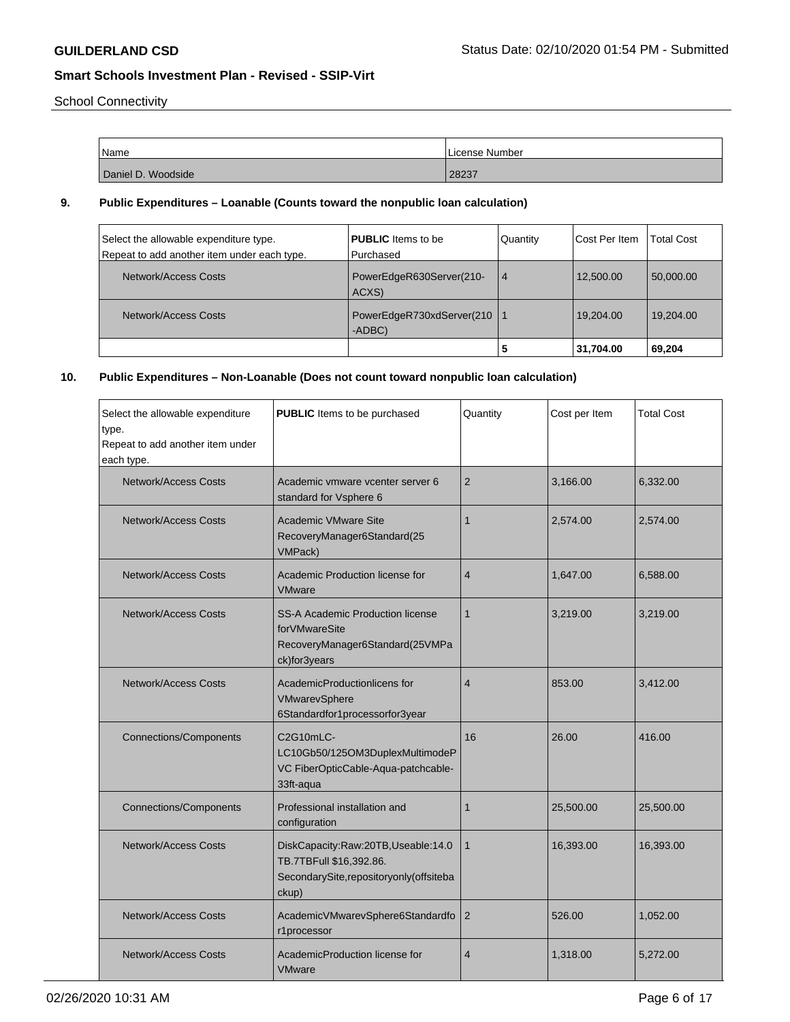School Connectivity

| Name               | License Number |
|--------------------|----------------|
|                    |                |
| Daniel D. Woodside | 28237          |

## **9. Public Expenditures – Loanable (Counts toward the nonpublic loan calculation)**

| Select the allowable expenditure type.<br>Repeat to add another item under each type. | <b>PUBLIC</b> Items to be<br>Purchased  | Quantity       | l Cost Per Item | <b>Total Cost</b> |
|---------------------------------------------------------------------------------------|-----------------------------------------|----------------|-----------------|-------------------|
| Network/Access Costs                                                                  | PowerEdgeR630Server(210-<br>ACXS)       | $\overline{4}$ | 12,500.00       | 50,000.00         |
| Network/Access Costs                                                                  | PowerEdgeR730xdServer(210   1<br>-ADBC) |                | 19,204.00       | 19,204.00         |
|                                                                                       |                                         | 5              | 31,704.00       | 69,204            |

# **10. Public Expenditures – Non-Loanable (Does not count toward nonpublic loan calculation)**

| Select the allowable expenditure<br>type.<br>Repeat to add another item under<br>each type. | <b>PUBLIC</b> Items to be purchased                                                                                | Quantity       | Cost per Item | Total Cost |
|---------------------------------------------------------------------------------------------|--------------------------------------------------------------------------------------------------------------------|----------------|---------------|------------|
| Network/Access Costs                                                                        | Academic vmware vcenter server 6<br>standard for Vsphere 6                                                         | $\overline{2}$ | 3,166.00      | 6,332.00   |
| Network/Access Costs                                                                        | <b>Academic VMware Site</b><br>RecoveryManager6Standard(25<br>VMPack)                                              | 1              | 2,574.00      | 2,574.00   |
| <b>Network/Access Costs</b>                                                                 | <b>Academic Production license for</b><br><b>VMware</b>                                                            | $\overline{4}$ | 1,647.00      | 6,588.00   |
| <b>Network/Access Costs</b>                                                                 | <b>SS-A Academic Production license</b><br>forVMwareSite<br>RecoveryManager6Standard(25VMPa<br>ck)for3years        | $\mathbf{1}$   | 3,219.00      | 3,219.00   |
| <b>Network/Access Costs</b>                                                                 | AcademicProductionlicens for<br>VMwarevSphere<br>6Standardfor1processorfor3year                                    | $\overline{4}$ | 853.00        | 3,412.00   |
| <b>Connections/Components</b>                                                               | C2G10mLC-<br>LC10Gb50/125OM3DuplexMultimodeP<br>VC FiberOpticCable-Aqua-patchcable-<br>33ft-aqua                   | 16             | 26.00         | 416.00     |
| Connections/Components                                                                      | Professional installation and<br>configuration                                                                     | 1              | 25,500.00     | 25,500.00  |
| <b>Network/Access Costs</b>                                                                 | DiskCapacity:Raw:20TB,Useable:14.0<br>TB.7TBFull \$16,392.86.<br>SecondarySite, repositoryonly (offsiteba<br>ckup) | $\mathbf{1}$   | 16,393.00     | 16,393.00  |
| <b>Network/Access Costs</b>                                                                 | AcademicVMwarevSphere6Standardfo<br>r1processor                                                                    | 2              | 526.00        | 1,052.00   |
| Network/Access Costs                                                                        | AcademicProduction license for<br><b>VMware</b>                                                                    | $\overline{4}$ | 1.318.00      | 5,272.00   |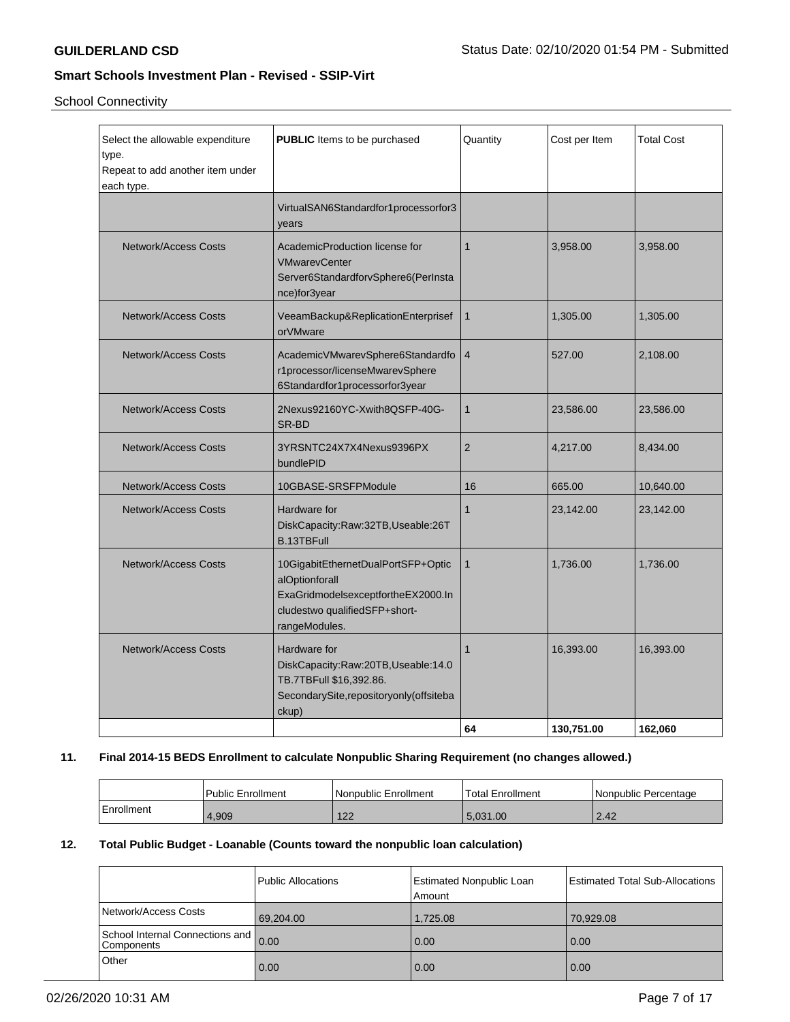School Connectivity

| Select the allowable expenditure<br>type.<br>Repeat to add another item under<br>each type. | Quantity<br><b>PUBLIC</b> Items to be purchased                                                                                              |                | Cost per Item | <b>Total Cost</b> |
|---------------------------------------------------------------------------------------------|----------------------------------------------------------------------------------------------------------------------------------------------|----------------|---------------|-------------------|
|                                                                                             | VirtualSAN6Standardfor1processorfor3<br>years                                                                                                |                |               |                   |
| <b>Network/Access Costs</b>                                                                 | AcademicProduction license for<br><b>VMwarevCenter</b><br>Server6StandardforvSphere6(PerInsta<br>nce)for3year                                | $\mathbf{1}$   | 3,958.00      | 3,958.00          |
| <b>Network/Access Costs</b>                                                                 | VeeamBackup&ReplicationEnterprisef<br>orVMware                                                                                               | $\mathbf{1}$   | 1,305.00      | 1,305.00          |
| Network/Access Costs                                                                        | AcademicVMwarevSphere6Standardfo<br>r1processor/licenseMwarevSphere<br>6Standardfor1processorfor3year                                        | $\overline{4}$ | 527.00        | 2,108.00          |
| Network/Access Costs                                                                        | 2Nexus92160YC-Xwith8QSFP-40G-<br>SR-BD                                                                                                       | $\mathbf{1}$   | 23,586.00     | 23,586.00         |
| Network/Access Costs                                                                        | 3YRSNTC24X7X4Nexus9396PX<br>bundlePID                                                                                                        | $\overline{2}$ | 4,217.00      | 8,434.00          |
| Network/Access Costs                                                                        | 10GBASE-SRSFPModule                                                                                                                          | 16             | 665.00        | 10,640.00         |
| <b>Network/Access Costs</b>                                                                 | Hardware for<br>DiskCapacity:Raw:32TB,Useable:26T<br><b>B.13TBFull</b>                                                                       | $\mathbf{1}$   | 23,142.00     | 23,142.00         |
| Network/Access Costs                                                                        | 10GigabitEthernetDualPortSFP+Optic<br>alOptionforall<br>ExaGridmodelsexceptfortheEX2000.In<br>cludestwo qualifiedSFP+short-<br>rangeModules. | $\mathbf{1}$   | 1,736.00      | 1,736.00          |
| <b>Network/Access Costs</b>                                                                 | Hardware for<br>DiskCapacity:Raw:20TB,Useable:14.0<br>TB.7TBFull \$16,392.86.<br>SecondarySite, repositoryonly (offsiteba<br>ckup)           | $\mathbf{1}$   | 16,393.00     | 16,393.00         |
|                                                                                             |                                                                                                                                              | 64             | 130.751.00    | 162,060           |

## **11. Final 2014-15 BEDS Enrollment to calculate Nonpublic Sharing Requirement (no changes allowed.)**

|            | <b>Public Enrollment</b> | Nonpublic Enrollment | <b>Total Enrollment</b> | Nonpublic Percentage |
|------------|--------------------------|----------------------|-------------------------|----------------------|
| Enrollment | +.909                    | 122<br>▗▃▁           | 5,031.00                | 2.42                 |

# **12. Total Public Budget - Loanable (Counts toward the nonpublic loan calculation)**

|                                               | Public Allocations | <b>Estimated Nonpublic Loan</b><br>Amount | <b>Estimated Total Sub-Allocations</b> |
|-----------------------------------------------|--------------------|-------------------------------------------|----------------------------------------|
| Network/Access Costs                          | 69,204.00          | 1,725.08                                  | 70,929.08                              |
| School Internal Connections and<br>Components | 0.00               | 0.00                                      | 0.00                                   |
| Other                                         | 0.00               | 0.00                                      | 0.00                                   |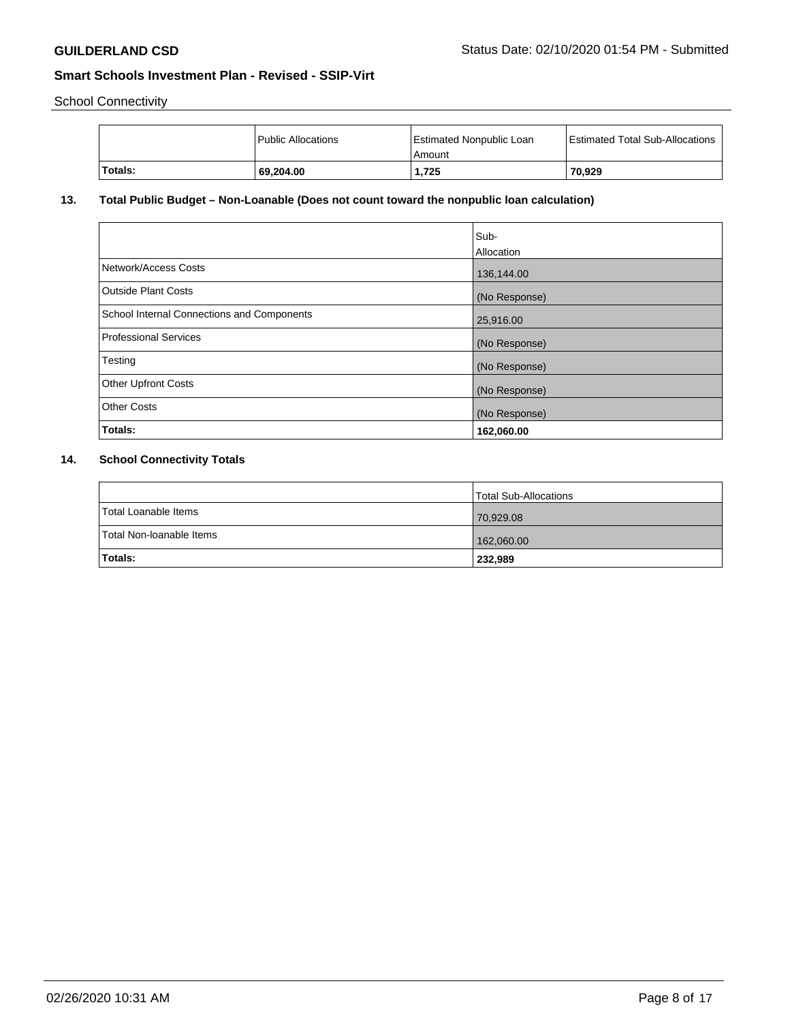School Connectivity

|         | Public Allocations | Estimated Nonpublic Loan<br>Amount | Estimated Total Sub-Allocations |
|---------|--------------------|------------------------------------|---------------------------------|
| Totals: | 69,204.00          | 1,725                              | 70,929                          |

# **13. Total Public Budget – Non-Loanable (Does not count toward the nonpublic loan calculation)**

|                                                   | Sub-          |
|---------------------------------------------------|---------------|
|                                                   | Allocation    |
| Network/Access Costs                              | 136,144.00    |
| Outside Plant Costs                               | (No Response) |
| <b>School Internal Connections and Components</b> | 25,916.00     |
| <b>Professional Services</b>                      | (No Response) |
| Testing                                           | (No Response) |
| <b>Other Upfront Costs</b>                        | (No Response) |
| <b>Other Costs</b>                                | (No Response) |
| Totals:                                           | 162,060.00    |

### **14. School Connectivity Totals**

|                          | Total Sub-Allocations |
|--------------------------|-----------------------|
| Total Loanable Items     | 70,929.08             |
| Total Non-Ioanable Items | 162,060.00            |
| <b>Totals:</b>           | 232,989               |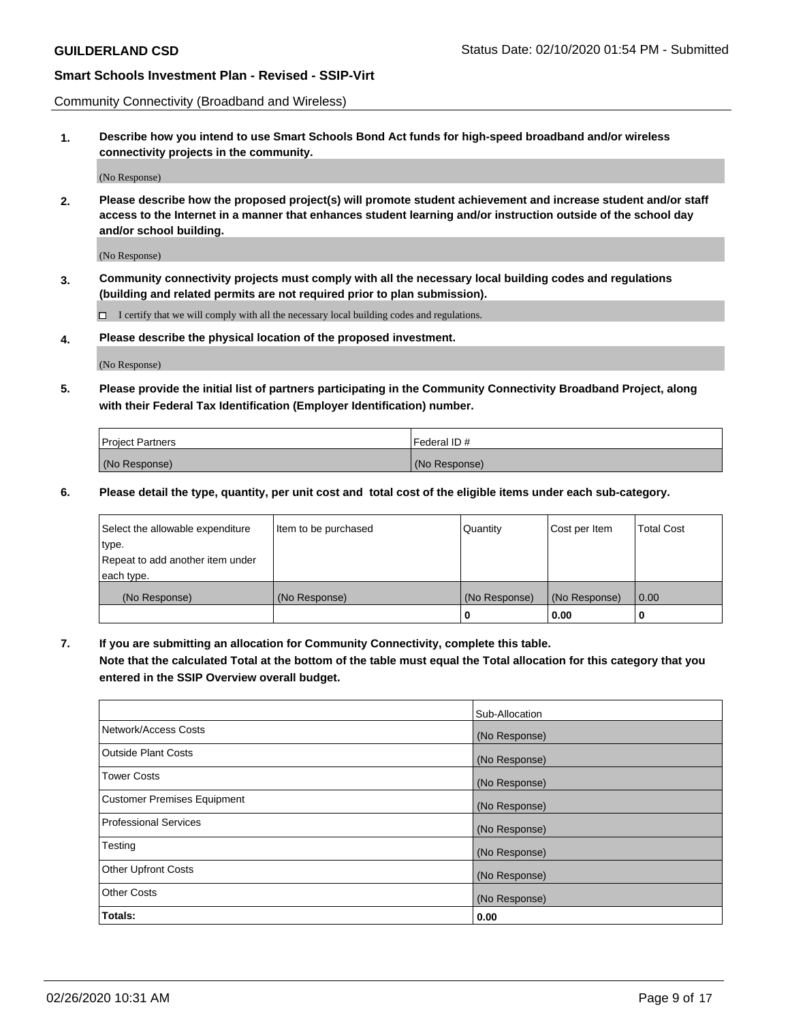Community Connectivity (Broadband and Wireless)

**1. Describe how you intend to use Smart Schools Bond Act funds for high-speed broadband and/or wireless connectivity projects in the community.**

(No Response)

**2. Please describe how the proposed project(s) will promote student achievement and increase student and/or staff access to the Internet in a manner that enhances student learning and/or instruction outside of the school day and/or school building.**

(No Response)

**3. Community connectivity projects must comply with all the necessary local building codes and regulations (building and related permits are not required prior to plan submission).**

 $\Box$  I certify that we will comply with all the necessary local building codes and regulations.

**4. Please describe the physical location of the proposed investment.**

(No Response)

**5. Please provide the initial list of partners participating in the Community Connectivity Broadband Project, along with their Federal Tax Identification (Employer Identification) number.**

| <b>Project Partners</b> | l Federal ID # |
|-------------------------|----------------|
| (No Response)           | (No Response)  |

**6. Please detail the type, quantity, per unit cost and total cost of the eligible items under each sub-category.**

| Select the allowable expenditure | Item to be purchased | Quantity      | Cost per Item | <b>Total Cost</b> |
|----------------------------------|----------------------|---------------|---------------|-------------------|
| type.                            |                      |               |               |                   |
| Repeat to add another item under |                      |               |               |                   |
| each type.                       |                      |               |               |                   |
| (No Response)                    | (No Response)        | (No Response) | (No Response) | 0.00              |
|                                  |                      | o             | 0.00          |                   |

**7. If you are submitting an allocation for Community Connectivity, complete this table.**

**Note that the calculated Total at the bottom of the table must equal the Total allocation for this category that you entered in the SSIP Overview overall budget.**

|                                    | Sub-Allocation |
|------------------------------------|----------------|
| Network/Access Costs               | (No Response)  |
| Outside Plant Costs                | (No Response)  |
| <b>Tower Costs</b>                 | (No Response)  |
| <b>Customer Premises Equipment</b> | (No Response)  |
| <b>Professional Services</b>       | (No Response)  |
| Testing                            | (No Response)  |
| <b>Other Upfront Costs</b>         | (No Response)  |
| <b>Other Costs</b>                 | (No Response)  |
| Totals:                            | 0.00           |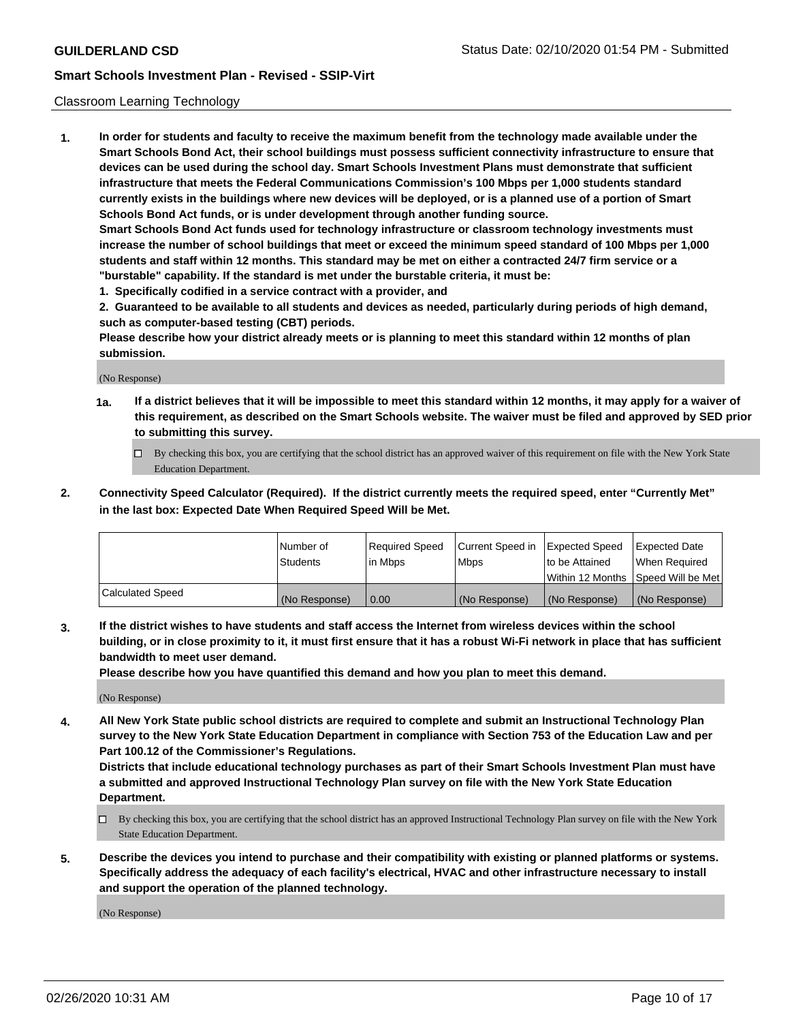#### Classroom Learning Technology

**1. In order for students and faculty to receive the maximum benefit from the technology made available under the Smart Schools Bond Act, their school buildings must possess sufficient connectivity infrastructure to ensure that devices can be used during the school day. Smart Schools Investment Plans must demonstrate that sufficient infrastructure that meets the Federal Communications Commission's 100 Mbps per 1,000 students standard currently exists in the buildings where new devices will be deployed, or is a planned use of a portion of Smart Schools Bond Act funds, or is under development through another funding source. Smart Schools Bond Act funds used for technology infrastructure or classroom technology investments must increase the number of school buildings that meet or exceed the minimum speed standard of 100 Mbps per 1,000 students and staff within 12 months. This standard may be met on either a contracted 24/7 firm service or a "burstable" capability. If the standard is met under the burstable criteria, it must be:**

**1. Specifically codified in a service contract with a provider, and**

**2. Guaranteed to be available to all students and devices as needed, particularly during periods of high demand, such as computer-based testing (CBT) periods.**

**Please describe how your district already meets or is planning to meet this standard within 12 months of plan submission.**

(No Response)

- **1a. If a district believes that it will be impossible to meet this standard within 12 months, it may apply for a waiver of this requirement, as described on the Smart Schools website. The waiver must be filed and approved by SED prior to submitting this survey.**
	- By checking this box, you are certifying that the school district has an approved waiver of this requirement on file with the New York State Education Department.
- **2. Connectivity Speed Calculator (Required). If the district currently meets the required speed, enter "Currently Met" in the last box: Expected Date When Required Speed Will be Met.**

|                  | l Number of     | Required Speed | Current Speed in | <b>Expected Speed</b> | <b>Expected Date</b>                |
|------------------|-----------------|----------------|------------------|-----------------------|-------------------------------------|
|                  | <b>Students</b> | l in Mbps      | l Mbps           | to be Attained        | When Required                       |
|                  |                 |                |                  |                       | Within 12 Months  Speed Will be Met |
| Calculated Speed | (No Response)   | 0.00           | (No Response)    | l (No Response)       | (No Response)                       |

**3. If the district wishes to have students and staff access the Internet from wireless devices within the school building, or in close proximity to it, it must first ensure that it has a robust Wi-Fi network in place that has sufficient bandwidth to meet user demand.**

**Please describe how you have quantified this demand and how you plan to meet this demand.**

(No Response)

**4. All New York State public school districts are required to complete and submit an Instructional Technology Plan survey to the New York State Education Department in compliance with Section 753 of the Education Law and per Part 100.12 of the Commissioner's Regulations.**

**Districts that include educational technology purchases as part of their Smart Schools Investment Plan must have a submitted and approved Instructional Technology Plan survey on file with the New York State Education Department.**

- By checking this box, you are certifying that the school district has an approved Instructional Technology Plan survey on file with the New York State Education Department.
- **5. Describe the devices you intend to purchase and their compatibility with existing or planned platforms or systems. Specifically address the adequacy of each facility's electrical, HVAC and other infrastructure necessary to install and support the operation of the planned technology.**

(No Response)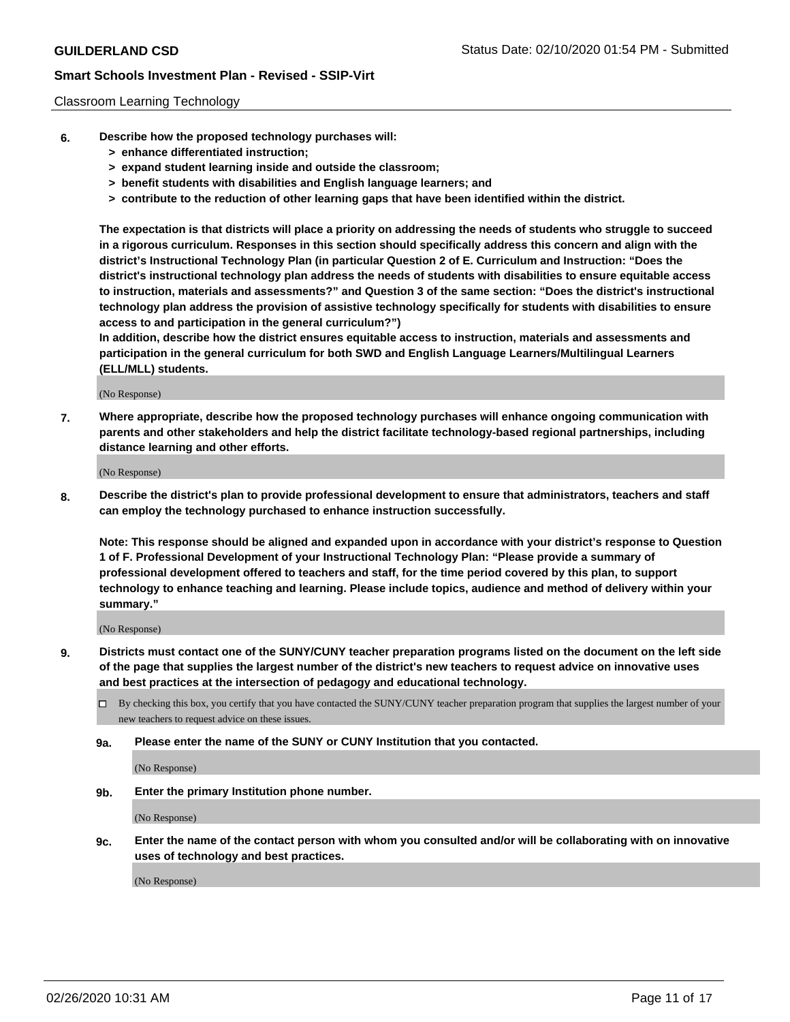#### Classroom Learning Technology

- **6. Describe how the proposed technology purchases will:**
	- **> enhance differentiated instruction;**
	- **> expand student learning inside and outside the classroom;**
	- **> benefit students with disabilities and English language learners; and**
	- **> contribute to the reduction of other learning gaps that have been identified within the district.**

**The expectation is that districts will place a priority on addressing the needs of students who struggle to succeed in a rigorous curriculum. Responses in this section should specifically address this concern and align with the district's Instructional Technology Plan (in particular Question 2 of E. Curriculum and Instruction: "Does the district's instructional technology plan address the needs of students with disabilities to ensure equitable access to instruction, materials and assessments?" and Question 3 of the same section: "Does the district's instructional technology plan address the provision of assistive technology specifically for students with disabilities to ensure access to and participation in the general curriculum?")**

**In addition, describe how the district ensures equitable access to instruction, materials and assessments and participation in the general curriculum for both SWD and English Language Learners/Multilingual Learners (ELL/MLL) students.**

(No Response)

**7. Where appropriate, describe how the proposed technology purchases will enhance ongoing communication with parents and other stakeholders and help the district facilitate technology-based regional partnerships, including distance learning and other efforts.**

(No Response)

**8. Describe the district's plan to provide professional development to ensure that administrators, teachers and staff can employ the technology purchased to enhance instruction successfully.**

**Note: This response should be aligned and expanded upon in accordance with your district's response to Question 1 of F. Professional Development of your Instructional Technology Plan: "Please provide a summary of professional development offered to teachers and staff, for the time period covered by this plan, to support technology to enhance teaching and learning. Please include topics, audience and method of delivery within your summary."**

(No Response)

- **9. Districts must contact one of the SUNY/CUNY teacher preparation programs listed on the document on the left side of the page that supplies the largest number of the district's new teachers to request advice on innovative uses and best practices at the intersection of pedagogy and educational technology.**
	- By checking this box, you certify that you have contacted the SUNY/CUNY teacher preparation program that supplies the largest number of your new teachers to request advice on these issues.
	- **9a. Please enter the name of the SUNY or CUNY Institution that you contacted.**

(No Response)

**9b. Enter the primary Institution phone number.**

(No Response)

**9c. Enter the name of the contact person with whom you consulted and/or will be collaborating with on innovative uses of technology and best practices.**

(No Response)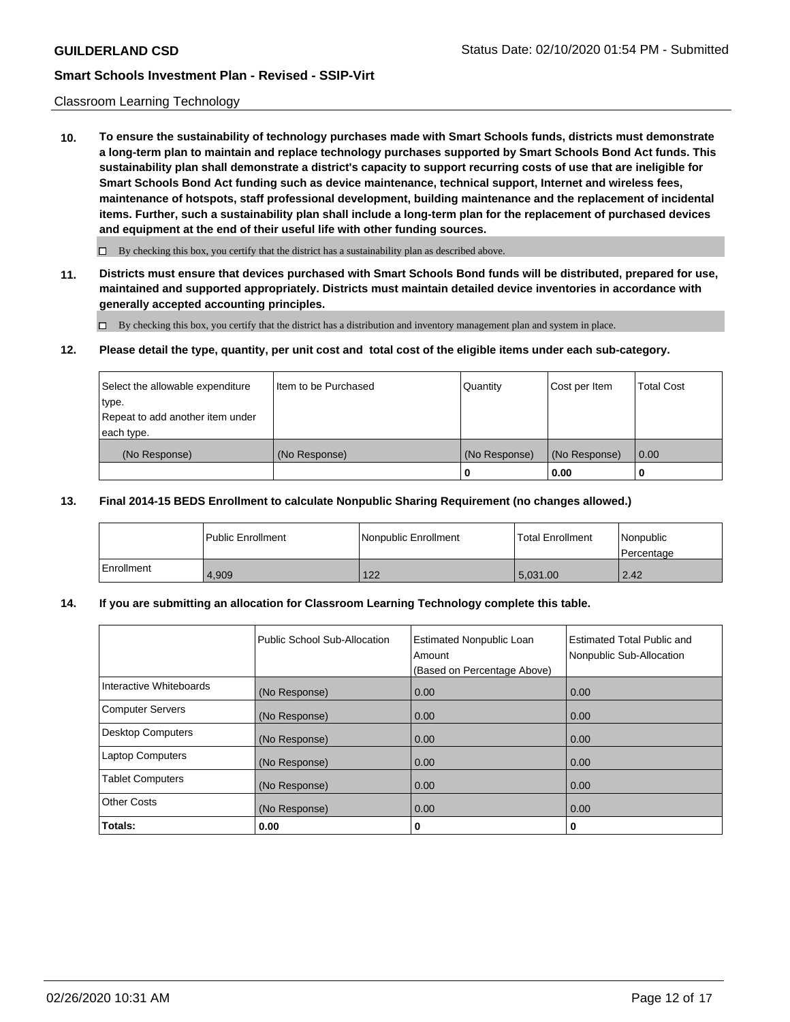#### Classroom Learning Technology

**10. To ensure the sustainability of technology purchases made with Smart Schools funds, districts must demonstrate a long-term plan to maintain and replace technology purchases supported by Smart Schools Bond Act funds. This sustainability plan shall demonstrate a district's capacity to support recurring costs of use that are ineligible for Smart Schools Bond Act funding such as device maintenance, technical support, Internet and wireless fees, maintenance of hotspots, staff professional development, building maintenance and the replacement of incidental items. Further, such a sustainability plan shall include a long-term plan for the replacement of purchased devices and equipment at the end of their useful life with other funding sources.**

 $\Box$  By checking this box, you certify that the district has a sustainability plan as described above.

**11. Districts must ensure that devices purchased with Smart Schools Bond funds will be distributed, prepared for use, maintained and supported appropriately. Districts must maintain detailed device inventories in accordance with generally accepted accounting principles.**

By checking this box, you certify that the district has a distribution and inventory management plan and system in place.

#### **12. Please detail the type, quantity, per unit cost and total cost of the eligible items under each sub-category.**

| Select the allowable expenditure<br>type.      | Item to be Purchased | Quantity      | Cost per Item | <b>Total Cost</b> |
|------------------------------------------------|----------------------|---------------|---------------|-------------------|
| Repeat to add another item under<br>each type. |                      |               |               |                   |
| (No Response)                                  | (No Response)        | (No Response) | (No Response) | 0.00              |
|                                                |                      |               | 0.00          |                   |

### **13. Final 2014-15 BEDS Enrollment to calculate Nonpublic Sharing Requirement (no changes allowed.)**

|              | l Public Enrollment | Nonpublic Enrollment | <b>Total Enrollment</b> | Nonpublic<br>l Percentage |
|--------------|---------------------|----------------------|-------------------------|---------------------------|
| l Enrollment | 4.909               | 122                  | 5.031.00                | 2.42                      |

## **14. If you are submitting an allocation for Classroom Learning Technology complete this table.**

|                         | Public School Sub-Allocation | <b>Estimated Nonpublic Loan</b><br>Amount<br>(Based on Percentage Above) | Estimated Total Public and<br>Nonpublic Sub-Allocation |
|-------------------------|------------------------------|--------------------------------------------------------------------------|--------------------------------------------------------|
| Interactive Whiteboards | (No Response)                | 0.00                                                                     | 0.00                                                   |
| Computer Servers        | (No Response)                | 0.00                                                                     | 0.00                                                   |
| Desktop Computers       | (No Response)                | 0.00                                                                     | 0.00                                                   |
| <b>Laptop Computers</b> | (No Response)                | 0.00                                                                     | 0.00                                                   |
| <b>Tablet Computers</b> | (No Response)                | 0.00                                                                     | 0.00                                                   |
| Other Costs             | (No Response)                | 0.00                                                                     | 0.00                                                   |
| Totals:                 | 0.00                         | 0                                                                        | 0                                                      |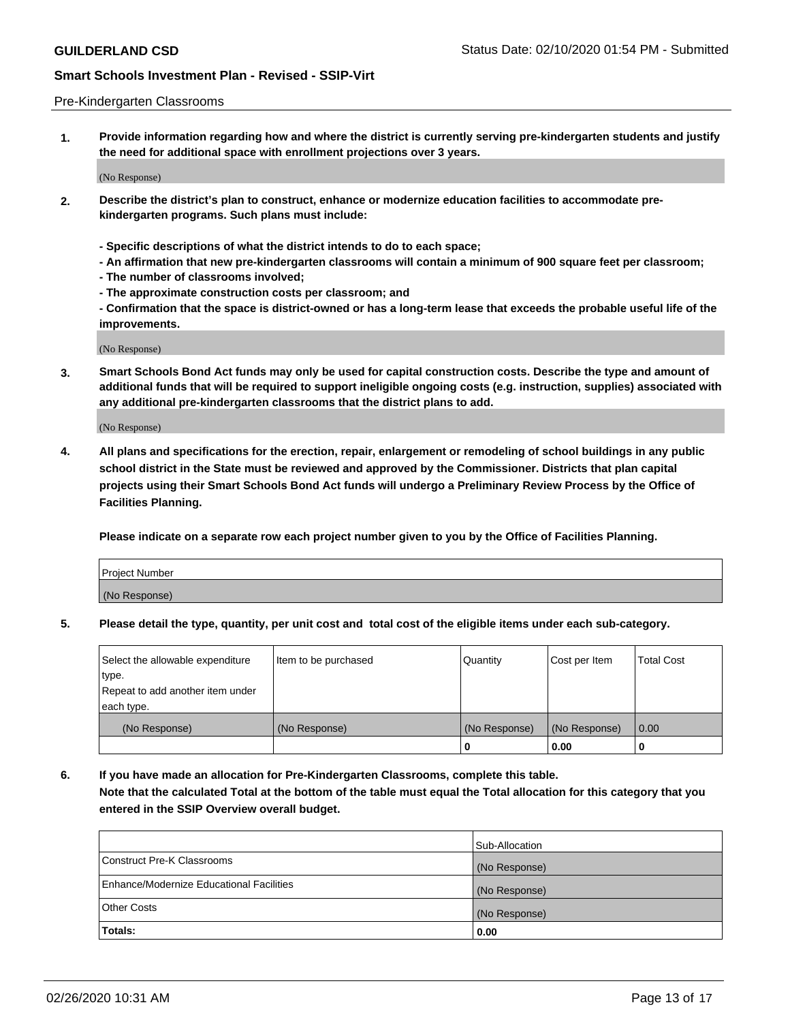#### Pre-Kindergarten Classrooms

**1. Provide information regarding how and where the district is currently serving pre-kindergarten students and justify the need for additional space with enrollment projections over 3 years.**

(No Response)

- **2. Describe the district's plan to construct, enhance or modernize education facilities to accommodate prekindergarten programs. Such plans must include:**
	- **Specific descriptions of what the district intends to do to each space;**
	- **An affirmation that new pre-kindergarten classrooms will contain a minimum of 900 square feet per classroom;**
	- **The number of classrooms involved;**
	- **The approximate construction costs per classroom; and**
	- **Confirmation that the space is district-owned or has a long-term lease that exceeds the probable useful life of the improvements.**

(No Response)

**3. Smart Schools Bond Act funds may only be used for capital construction costs. Describe the type and amount of additional funds that will be required to support ineligible ongoing costs (e.g. instruction, supplies) associated with any additional pre-kindergarten classrooms that the district plans to add.**

(No Response)

**4. All plans and specifications for the erection, repair, enlargement or remodeling of school buildings in any public school district in the State must be reviewed and approved by the Commissioner. Districts that plan capital projects using their Smart Schools Bond Act funds will undergo a Preliminary Review Process by the Office of Facilities Planning.**

**Please indicate on a separate row each project number given to you by the Office of Facilities Planning.**

| Project Number |  |
|----------------|--|
| (No Response)  |  |
|                |  |

**5. Please detail the type, quantity, per unit cost and total cost of the eligible items under each sub-category.**

| Select the allowable expenditure | Item to be purchased | Quantity      | Cost per Item | <b>Total Cost</b> |
|----------------------------------|----------------------|---------------|---------------|-------------------|
| type.                            |                      |               |               |                   |
| Repeat to add another item under |                      |               |               |                   |
| each type.                       |                      |               |               |                   |
| (No Response)                    | (No Response)        | (No Response) | (No Response) | 0.00              |
|                                  |                      | U             | 0.00          |                   |

**6. If you have made an allocation for Pre-Kindergarten Classrooms, complete this table. Note that the calculated Total at the bottom of the table must equal the Total allocation for this category that you entered in the SSIP Overview overall budget.**

|                                          | Sub-Allocation |
|------------------------------------------|----------------|
| Construct Pre-K Classrooms               | (No Response)  |
| Enhance/Modernize Educational Facilities | (No Response)  |
| <b>Other Costs</b>                       | (No Response)  |
| Totals:                                  | 0.00           |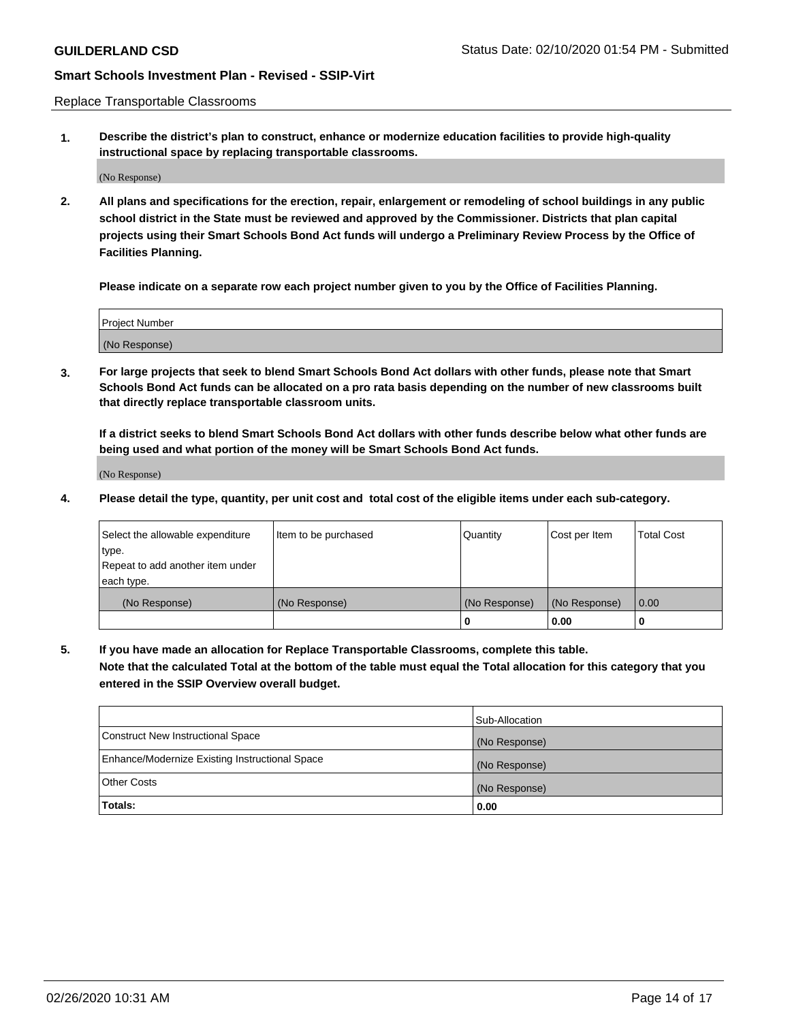Replace Transportable Classrooms

**1. Describe the district's plan to construct, enhance or modernize education facilities to provide high-quality instructional space by replacing transportable classrooms.**

(No Response)

**2. All plans and specifications for the erection, repair, enlargement or remodeling of school buildings in any public school district in the State must be reviewed and approved by the Commissioner. Districts that plan capital projects using their Smart Schools Bond Act funds will undergo a Preliminary Review Process by the Office of Facilities Planning.**

**Please indicate on a separate row each project number given to you by the Office of Facilities Planning.**

| Project Number |  |
|----------------|--|
|                |  |
|                |  |
|                |  |
| (No Response)  |  |
|                |  |
|                |  |

**3. For large projects that seek to blend Smart Schools Bond Act dollars with other funds, please note that Smart Schools Bond Act funds can be allocated on a pro rata basis depending on the number of new classrooms built that directly replace transportable classroom units.**

**If a district seeks to blend Smart Schools Bond Act dollars with other funds describe below what other funds are being used and what portion of the money will be Smart Schools Bond Act funds.**

(No Response)

**4. Please detail the type, quantity, per unit cost and total cost of the eligible items under each sub-category.**

| Select the allowable expenditure | Item to be purchased | Quantity      | Cost per Item | Total Cost |
|----------------------------------|----------------------|---------------|---------------|------------|
| ∣type.                           |                      |               |               |            |
| Repeat to add another item under |                      |               |               |            |
| each type.                       |                      |               |               |            |
| (No Response)                    | (No Response)        | (No Response) | (No Response) | 0.00       |
|                                  |                      | u             | 0.00          |            |

**5. If you have made an allocation for Replace Transportable Classrooms, complete this table. Note that the calculated Total at the bottom of the table must equal the Total allocation for this category that you entered in the SSIP Overview overall budget.**

|                                                | Sub-Allocation |
|------------------------------------------------|----------------|
| Construct New Instructional Space              | (No Response)  |
| Enhance/Modernize Existing Instructional Space | (No Response)  |
| Other Costs                                    | (No Response)  |
| Totals:                                        | 0.00           |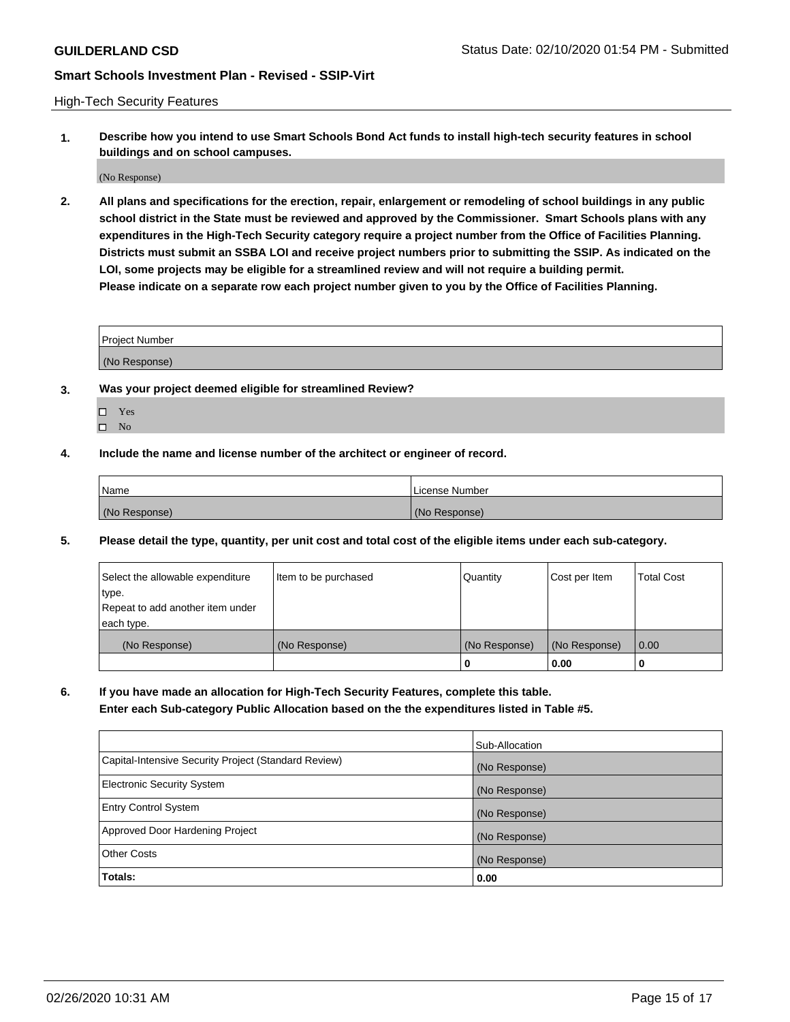High-Tech Security Features

**1. Describe how you intend to use Smart Schools Bond Act funds to install high-tech security features in school buildings and on school campuses.**

(No Response)

**2. All plans and specifications for the erection, repair, enlargement or remodeling of school buildings in any public school district in the State must be reviewed and approved by the Commissioner. Smart Schools plans with any expenditures in the High-Tech Security category require a project number from the Office of Facilities Planning. Districts must submit an SSBA LOI and receive project numbers prior to submitting the SSIP. As indicated on the LOI, some projects may be eligible for a streamlined review and will not require a building permit. Please indicate on a separate row each project number given to you by the Office of Facilities Planning.**

| <b>Project Number</b> |  |
|-----------------------|--|
| (No Response)         |  |

- **3. Was your project deemed eligible for streamlined Review?**
	- Yes
	- $\hfill \square$  No
- **4. Include the name and license number of the architect or engineer of record.**

| Name          | License Number |
|---------------|----------------|
| (No Response) | (No Response)  |

**5. Please detail the type, quantity, per unit cost and total cost of the eligible items under each sub-category.**

| Select the allowable expenditure | Item to be purchased | Quantity      | Cost per Item | <b>Total Cost</b> |
|----------------------------------|----------------------|---------------|---------------|-------------------|
| type.                            |                      |               |               |                   |
| Repeat to add another item under |                      |               |               |                   |
| each type.                       |                      |               |               |                   |
| (No Response)                    | (No Response)        | (No Response) | (No Response) | 0.00              |
|                                  |                      | 0             | 0.00          |                   |

**6. If you have made an allocation for High-Tech Security Features, complete this table.**

**Enter each Sub-category Public Allocation based on the the expenditures listed in Table #5.**

|                                                      | Sub-Allocation |
|------------------------------------------------------|----------------|
| Capital-Intensive Security Project (Standard Review) | (No Response)  |
| <b>Electronic Security System</b>                    | (No Response)  |
| <b>Entry Control System</b>                          | (No Response)  |
| Approved Door Hardening Project                      | (No Response)  |
| <b>Other Costs</b>                                   | (No Response)  |
| Totals:                                              | 0.00           |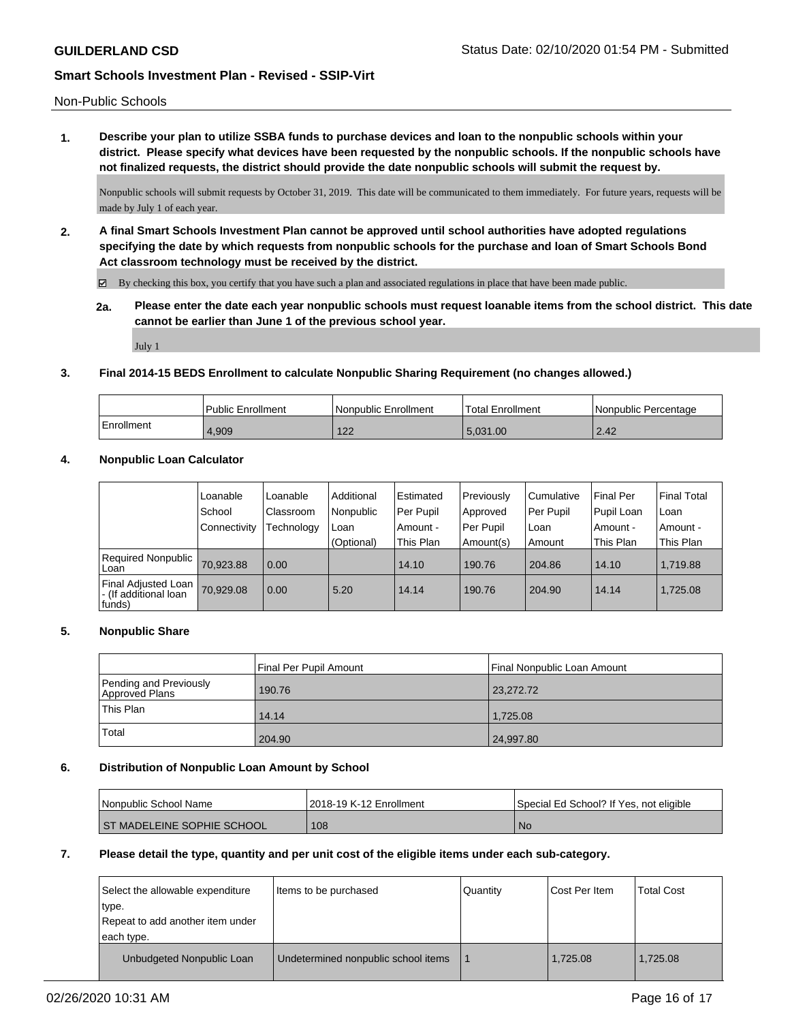Non-Public Schools

**1. Describe your plan to utilize SSBA funds to purchase devices and loan to the nonpublic schools within your district. Please specify what devices have been requested by the nonpublic schools. If the nonpublic schools have not finalized requests, the district should provide the date nonpublic schools will submit the request by.**

Nonpublic schools will submit requests by October 31, 2019. This date will be communicated to them immediately. For future years, requests will be made by July 1 of each year.

**2. A final Smart Schools Investment Plan cannot be approved until school authorities have adopted regulations specifying the date by which requests from nonpublic schools for the purchase and loan of Smart Schools Bond Act classroom technology must be received by the district.**

 $\boxtimes$  By checking this box, you certify that you have such a plan and associated regulations in place that have been made public.

**2a. Please enter the date each year nonpublic schools must request loanable items from the school district. This date cannot be earlier than June 1 of the previous school year.**

July 1

#### **3. Final 2014-15 BEDS Enrollment to calculate Nonpublic Sharing Requirement (no changes allowed.)**

|            | Public Enrollment | l Nonpublic Enrollment | 'Total Enrollment | I Nonpublic Percentage |
|------------|-------------------|------------------------|-------------------|------------------------|
| Enrollment | .909.             | 122<br>▗▃▁             | 5.031.00          | 2.42                   |

#### **4. Nonpublic Loan Calculator**

|                                                          | Loanable<br>School | Loanable<br>Classroom | Additional<br>Nonpublic | <b>Estimated</b><br>Per Pupil | Previously<br>Approved | Cumulative<br>Per Pupil | <b>Final Per</b><br>Pupil Loan | <b>Final Total</b><br>l Loan |
|----------------------------------------------------------|--------------------|-----------------------|-------------------------|-------------------------------|------------------------|-------------------------|--------------------------------|------------------------------|
|                                                          | Connectivity       | Technology            | Loan                    | Amount -                      | Per Pupil              | Loan                    | Amount -                       | Amount -                     |
|                                                          |                    |                       | (Optional)              | This Plan                     | Amount(s)              | Amount                  | This Plan                      | This Plan                    |
| Required Nonpublic<br>Loan                               | 70,923.88          | 0.00                  |                         | 14.10                         | 190.76                 | 204.86                  | 14.10                          | 1,719.88                     |
| Final Adjusted Loan<br>I - (If additional loan<br>funds) | 70,929.08          | 0.00                  | 5.20                    | 14.14                         | 190.76                 | 204.90                  | 14.14                          | 1.725.08                     |

## **5. Nonpublic Share**

|                                          | Final Per Pupil Amount | Final Nonpublic Loan Amount |
|------------------------------------------|------------------------|-----------------------------|
| Pending and Previously<br>Approved Plans | 190.76                 | 23,272.72                   |
| 'This Plan                               | 14.14                  | 1.725.08                    |
| Total                                    | 204.90                 | 24,997.80                   |

#### **6. Distribution of Nonpublic Loan Amount by School**

| Nonpublic School Name        | 2018-19 K-12 Enrollment | Special Ed School? If Yes, not eligible |
|------------------------------|-------------------------|-----------------------------------------|
| I ST MADELEINE SOPHIE SCHOOL | 108                     | N0                                      |

#### **7. Please detail the type, quantity and per unit cost of the eligible items under each sub-category.**

| Select the allowable expenditure<br>type.<br>Repeat to add another item under<br>each type. | ltems to be purchased               | Quantity | Cost Per Item | <b>Total Cost</b> |
|---------------------------------------------------------------------------------------------|-------------------------------------|----------|---------------|-------------------|
| Unbudgeted Nonpublic Loan                                                                   | Undetermined nonpublic school items |          | 1,725.08      | 1.725.08          |